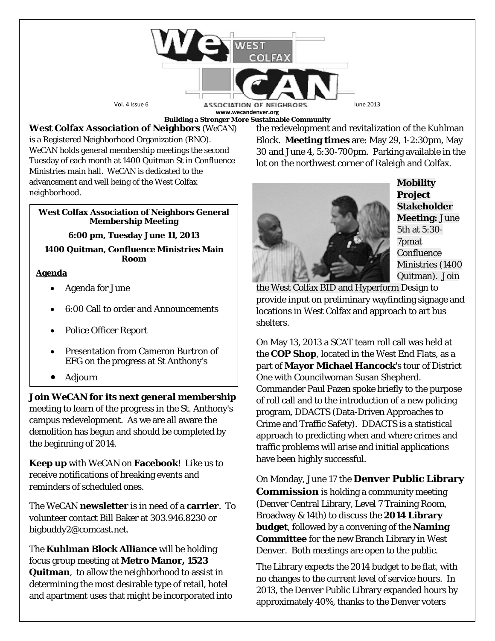

**Building a Stronger More Sustainable Community**

# **West Colfax Association of Neighbors** (*WeCAN*)

is a Registered Neighborhood Organization (RNO). *WeCAN* holds general membership meetings the second Tuesday of each month at 1400 Quitman St in Confluence Ministries main hall. *WeCAN* is dedicated to the advancement and well being of the West Colfax neighborhood.

### **West Colfax Association of Neighbors General Membership Meeting**

**6:00 pm, Tuesday June 11, 2013**

### **1400 Quitman, Confluence Ministries Main Room**

## **Agenda**

- Agenda for June
- 6:00 Call to order and Announcements
- Police Officer Report
- Presentation from Cameron Burtron of EFG on the progress at St Anthony's
- Adjourn

**Join** *WeCAN* **for its next general membership** meeting to learn of the progress in the St. Anthony's campus redevelopment. As we are all aware the demolition has begun and should be completed by the beginning of 2014.

**Keep up** with *WeCAN* on **Facebook**! Like us to receive notifications of breaking events and reminders of scheduled ones.

The *WeCAN* **newsletter** is in need of a **carrier**. To volunteer contact Bill Baker at 303.946.8230 or bigbuddy2@comcast.net.

The **Kuhlman Block Alliance** will be holding focus group meeting at **Metro Manor, 1523 Quitman**, to allow the neighborhood to assist in determining the most desirable type of retail, hotel and apartment uses that might be incorporated into the redevelopment and revitalization of the Kuhlman Block. **Meeting times** are: May 29, 1-2:30pm, May 30 and June 4, 5:30-700pm. Parking available in the lot on the northwest corner of Raleigh and Colfax.



**Mobility Project Stakeholder Meeting:** June 5th at 5:30- 7pmat Confluence Ministries (1400 Quitman). Join

the West Colfax BID and Hyperform Design to provide input on preliminary wayfinding signage and locations in West Colfax and approach to art bus shelters.

On May 13, 2013 a SCAT team roll call was held at the **COP Shop**, located in the West End Flats, as a part of **Mayor Michael Hancock**'s tour of District One with Councilwoman Susan Shepherd. Commander Paul Pazen spoke briefly to the purpose of roll call and to the introduction of a new policing program, DDACTS (Data-Driven Approaches to Crime and Traffic Safety). DDACTS is a statistical approach to predicting when and where crimes and traffic problems will arise and initial applications have been highly successful.

On Monday, June 17 the **Denver Public Library Commission** is holding a community meeting (Denver Central Library, Level 7 Training Room, Broadway & 14th) to discuss the **2014 Library budget**, followed by a convening of the **Naming Committee** for the [new Branch Library in West](http://denverlibrary.org/bond/west-denver-branch-library)  [Denver.](http://denverlibrary.org/bond/west-denver-branch-library) Both meetings are open to the public.

The Library expects the 2014 budget to be flat, with no changes to the current level of service hours. In 2013, the Denver Public Library [expanded hours by](http://denverlibrary.org/expanded-library-hours-roll-out)  [approximately 40%,](http://denverlibrary.org/expanded-library-hours-roll-out) thanks to the Denver voters